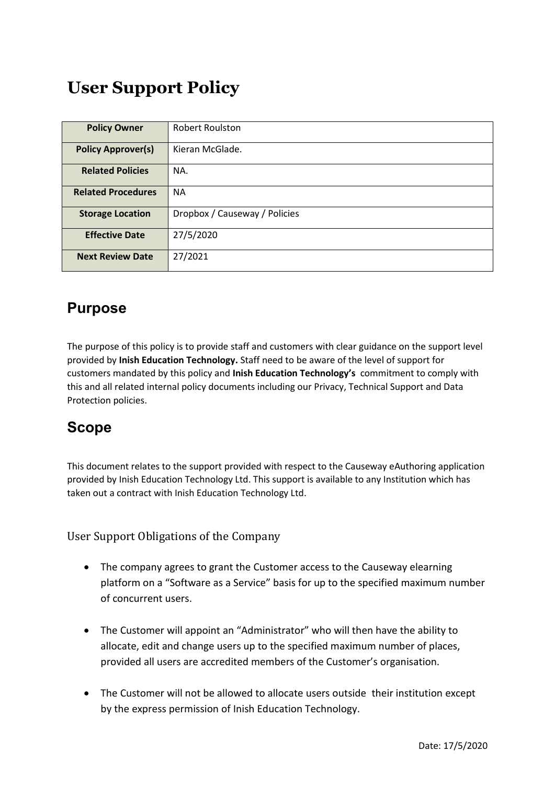# **User Support Policy**

| <b>Policy Owner</b>       | Robert Roulston               |  |  |
|---------------------------|-------------------------------|--|--|
| <b>Policy Approver(s)</b> | Kieran McGlade.               |  |  |
| <b>Related Policies</b>   | NA.                           |  |  |
| <b>Related Procedures</b> | NА                            |  |  |
| <b>Storage Location</b>   | Dropbox / Causeway / Policies |  |  |
| <b>Effective Date</b>     | 27/5/2020                     |  |  |
| <b>Next Review Date</b>   | 27/2021                       |  |  |

## **Purpose**

The purpose of this policy is to provide staff and customers with clear guidance on the support level provided by **Inish Education Technology.** Staff need to be aware of the level of support for customers mandated by this policy and **Inish Education Technology's** commitment to comply with this and all related internal policy documents including our Privacy, Technical Support and Data Protection policies.

# **Scope**

This document relates to the support provided with respect to the Causeway eAuthoring application provided by Inish Education Technology Ltd. This support is available to any Institution which has taken out a contract with Inish Education Technology Ltd.

User Support Obligations of the Company

- The company agrees to grant the Customer access to the Causeway elearning platform on a "Software as a Service" basis for up to the specified maximum number of concurrent users.
- The Customer will appoint an "Administrator" who will then have the ability to allocate, edit and change users up to the specified maximum number of places, provided all users are accredited members of the Customer's organisation.
- The Customer will not be allowed to allocate users outside their institution except by the express permission of Inish Education Technology.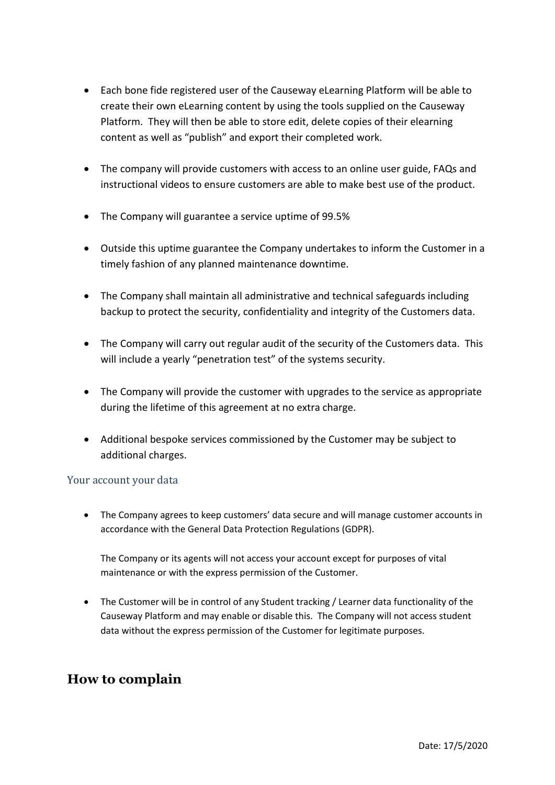- Each bone fide registered user of the Causeway eLearning Platform will be able to create their own eLearning content by using the tools supplied on the Causeway Platform. They will then be able to store edit, delete copies of their elearning content as well as "publish" and export their completed work.
- The company will provide customers with access to an online user guide, FAQs and instructional videos to ensure customers are able to make best use of the product.
- The Company will guarantee a service uptime of 99.5%
- Outside this uptime guarantee the Company undertakes to inform the Customer in a timely fashion of any planned maintenance downtime.
- The Company shall maintain all administrative and technical safeguards including backup to protect the security, confidentiality and integrity of the Customers data.
- The Company will carry out regular audit of the security of the Customers data. This will include a yearly "penetration test" of the systems security.
- The Company will provide the customer with upgrades to the service as appropriate during the lifetime of this agreement at no extra charge.
- Additional bespoke services commissioned by the Customer may be subject to additional charges.

#### Your account your data

 The Company agrees to keep customers' data secure and will manage customer accounts in accordance with the General Data Protection Regulations (GDPR).

The Company or its agents will not access your account except for purposes of vital maintenance or with the express permission of the Customer.

 The Customer will be in control of any Student tracking / Learner data functionality of the Causeway Platform and may enable or disable this. The Company will not access student data without the express permission of the Customer for legitimate purposes.

### **How to complain**